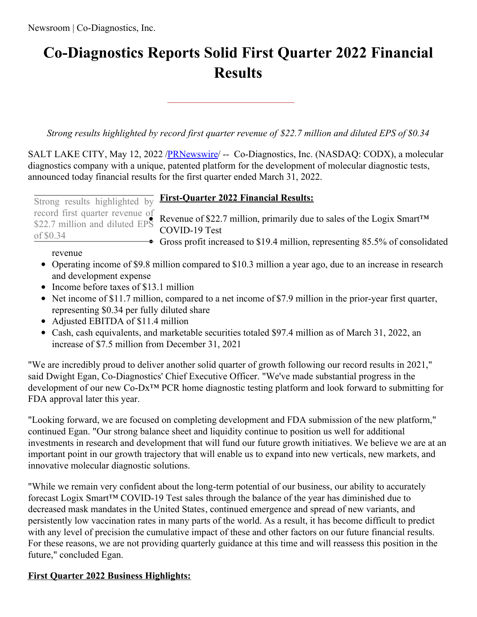# **Co-Diagnostics Reports Solid First Quarter 2022 Financial Results**

*Strong results highlighted by record first quarter revenue of \$22.7 million and diluted EPS of \$0.34*

SALT LAKE CITY, May 12, 2022 [/PRNewswire](http://www.prnewswire.com/)/ -- Co-Diagnostics, Inc. (NASDAQ: CODX), a molecular diagnostics company with a unique, patented platform for the development of molecular diagnostic tests, announced today financial results for the first quarter ended March 31, 2022.

 $\bullet$  Gross profit increased to \$19.4 million, representing 85.5% of consolidated \$22.7 million and diluted EPS of \$0.34

# **Strong results highlighted by First-Quarter 2022 Financial Results:**

record first quarter revenue of<br>\$22.7 million, primarily due to sales of the Logix Smart<sup>TM</sup> COVID-19 Test

# revenue

- Operating income of \$9.8 million compared to \$10.3 million a year ago, due to an increase in research and development expense
- Income before taxes of \$13.1 million
- Net income of \$11.7 million, compared to a net income of \$7.9 million in the prior-year first quarter, representing \$0.34 per fully diluted share
- Adjusted EBITDA of \$11.4 million
- Cash, cash equivalents, and marketable securities totaled \$97.4 million as of March 31, 2022, an increase of \$7.5 million from December 31, 2021

"We are incredibly proud to deliver another solid quarter of growth following our record results in 2021," said Dwight Egan, Co-Diagnostics' Chief Executive Officer. "We've made substantial progress in the development of our new Co-Dx™ PCR home diagnostic testing platform and look forward to submitting for FDA approval later this year.

"Looking forward, we are focused on completing development and FDA submission of the new platform," continued Egan. "Our strong balance sheet and liquidity continue to position us well for additional investments in research and development that will fund our future growth initiatives. We believe we are at an important point in our growth trajectory that will enable us to expand into new verticals, new markets, and innovative molecular diagnostic solutions.

"While we remain very confident about the long-term potential of our business, our ability to accurately forecast Logix Smart™ COVID-19 Test sales through the balance of the year has diminished due to decreased mask mandates in the United States, continued emergence and spread of new variants, and persistently low vaccination rates in many parts of the world. As a result, it has become difficult to predict with any level of precision the cumulative impact of these and other factors on our future financial results. For these reasons, we are not providing quarterly guidance at this time and will reassess this position in the future," concluded Egan.

# **First Quarter 2022 Business Highlights:**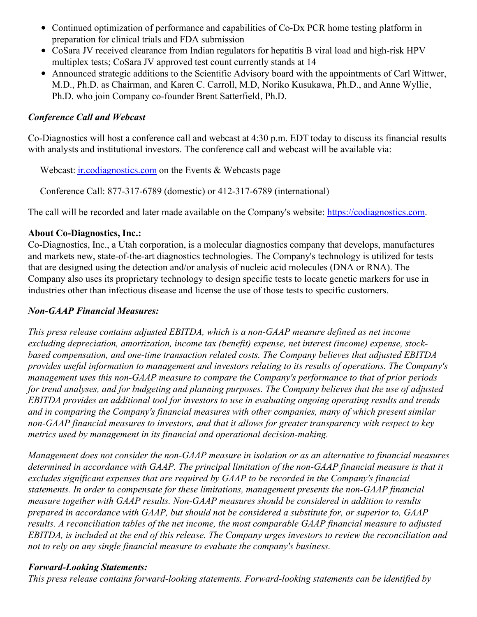- Continued optimization of performance and capabilities of Co-Dx PCR home testing platform in preparation for clinical trials and FDA submission
- CoSara JV received clearance from Indian regulators for hepatitis B viral load and high-risk HPV multiplex tests; CoSara JV approved test count currently stands at 14
- Announced strategic additions to the Scientific Advisory board with the appointments of Carl Wittwer, M.D., Ph.D. as Chairman, and Karen C. Carroll, M.D, Noriko Kusukawa, Ph.D., and Anne Wyllie, Ph.D. who join Company co-founder Brent Satterfield, Ph.D.

# *Conference Call and Webcast*

Co-Diagnostics will host a conference call and webcast at 4:30 p.m. EDT today to discuss its financial results with analysts and institutional investors. The conference call and webcast will be available via:

Webcast: *[ir.codiagnostics.com](https://c212.net/c/link/?t=0&l=en&o=3535699-1&h=626811146&u=https%3A%2F%2Fir.codiagnostics.com&a=ir.codiagnostics.com)* on the Events & Webcasts page

Conference Call: 877-317-6789 (domestic) or 412-317-6789 (international)

The call will be recorded and later made available on the Company's website: [https://codiagnostics.com](https://c212.net/c/link/?t=0&l=en&o=3535699-1&h=796029329&u=https%3A%2F%2Fcodiagnostics.com&a=https%3A%2F%2Fcodiagnostics.com).

# **About Co-Diagnostics, Inc.:**

Co-Diagnostics, Inc., a Utah corporation, is a molecular diagnostics company that develops, manufactures and markets new, state-of-the-art diagnostics technologies. The Company's technology is utilized for tests that are designed using the detection and/or analysis of nucleic acid molecules (DNA or RNA). The Company also uses its proprietary technology to design specific tests to locate genetic markers for use in industries other than infectious disease and license the use of those tests to specific customers.

# *Non-GAAP Financial Measures:*

*This press release contains adjusted EBITDA, which is a non-GAAP measure defined as net income excluding depreciation, amortization, income tax (benefit) expense, net interest (income) expense, stockbased compensation, and one-time transaction related costs. The Company believes that adjusted EBITDA provides useful information to management and investors relating to its results of operations. The Company's management uses this non-GAAP measure to compare the Company's performance to that of prior periods* for trend analyses, and for budgeting and planning purposes. The Company believes that the use of adjusted *EBITDA provides an additional tool for investors to use in evaluating ongoing operating results and trends and in comparing the Company's financial measures with other companies, many of which present similar non-GAAP financial measures to investors, and that it allows for greater transparency with respect to key metrics used by management in its financial and operational decision-making.*

*Management does not consider the non-GAAP measure in isolation or as an alternative to financial measures determined in accordance with GAAP. The principal limitation of the non-GAAP financial measure is that it excludes significant expenses that are required by GAAP to be recorded in the Company's financial statements. In order to compensate for these limitations, management presents the non-GAAP financial measure together with GAAP results. Non-GAAP measures should be considered in addition to results prepared in accordance with GAAP, but should not be considered a substitute for, or superior to, GAAP results. A reconciliation tables of the net income, the most comparable GAAP financial measure to adjusted* EBITDA, is included at the end of this release. The Company urges investors to review the reconciliation and *not to rely on any single financial measure to evaluate the company's business.*

## *Forward-Looking Statements:*

*This press release contains forward-looking statements. Forward-looking statements can be identified by*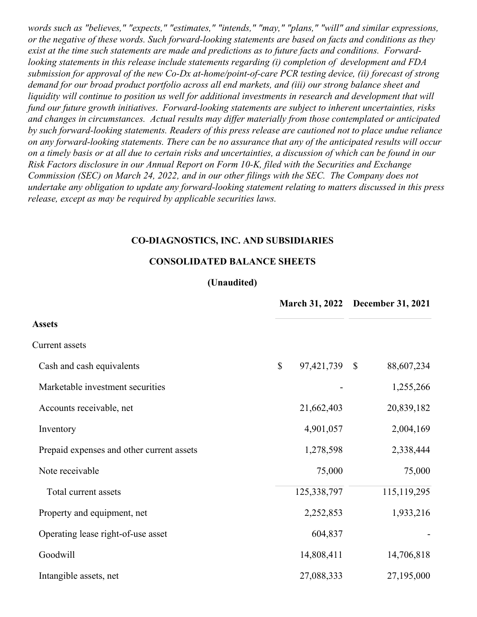*words such as "believes," "expects," "estimates," "intends," "may," "plans," "will" and similar expressions, or the negative of these words. Such forward-looking statements are based on facts and conditions as they exist at the time such statements are made and predictions as to future facts and conditions. Forwardlooking statements in this release include statements regarding (i) completion of development and FDA submission for approval of the new Co-Dx at-home/point-of-care PCR testing device, (ii) forecast of strong demand for our broad product portfolio across all end markets, and (iii) our strong balance sheet and liquidity will continue to position us well for additional investments in research and development that will fund our future growth initiatives*. *Forward-looking statements are subject to inherent uncertainties, risks and changes in circumstances. Actual results may dif er materially from those contemplated or anticipated by such forward-looking statements. Readers of this press release are cautioned not to place undue reliance* on any forward-looking statements. There can be no assurance that any of the anticipated results will occur on a timely basis or at all due to certain risks and uncertainties, a discussion of which can be found in our *Risk Factors disclosure in our Annual Report on Form 10-K, filed with the Securities and Exchange Commission (SEC) on March 24, 2022, and in our other filings with the SEC. The Company does not undertake any obligation to update any forward-looking statement relating to matters discussed in this press release, except as may be required by applicable securities laws.*

#### **CO-DIAGNOSTICS, INC. AND SUBSIDIARIES**

#### **CONSOLIDATED BALANCE SHEETS**

#### **(Unaudited)**

|                                           |                  | March 31, 2022 December 31, 2021 |  |  |
|-------------------------------------------|------------------|----------------------------------|--|--|
| <b>Assets</b>                             |                  |                                  |  |  |
| Current assets                            |                  |                                  |  |  |
| Cash and cash equivalents                 | \$<br>97,421,739 | 88,607,234<br>$\mathcal{S}$      |  |  |
| Marketable investment securities          |                  | 1,255,266                        |  |  |
| Accounts receivable, net                  | 21,662,403       | 20,839,182                       |  |  |
| Inventory                                 | 4,901,057        | 2,004,169                        |  |  |
| Prepaid expenses and other current assets | 1,278,598        | 2,338,444                        |  |  |
| Note receivable                           | 75,000           | 75,000                           |  |  |
| Total current assets                      | 125,338,797      | 115, 119, 295                    |  |  |
| Property and equipment, net               | 2,252,853        | 1,933,216                        |  |  |
| Operating lease right-of-use asset        | 604,837          |                                  |  |  |
| Goodwill                                  | 14,808,411       | 14,706,818                       |  |  |
| Intangible assets, net                    | 27,088,333       | 27,195,000                       |  |  |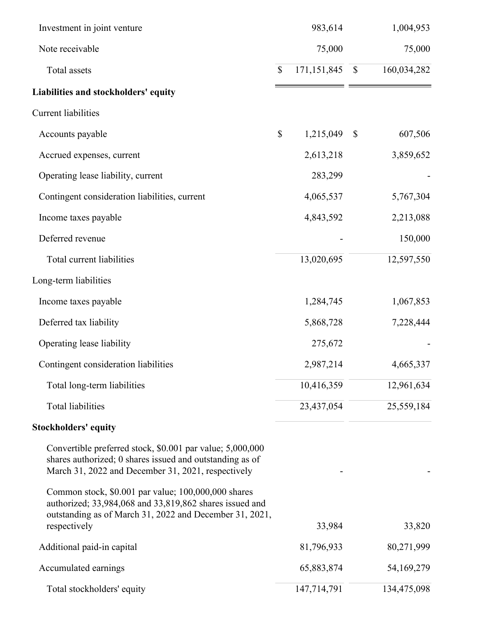| Investment in joint venture                                                                                                                                                               |                           | 983,614       |               | 1,004,953   |
|-------------------------------------------------------------------------------------------------------------------------------------------------------------------------------------------|---------------------------|---------------|---------------|-------------|
| Note receivable                                                                                                                                                                           |                           | 75,000        |               | 75,000      |
| Total assets                                                                                                                                                                              | \$                        | 171, 151, 845 | $\mathbb{S}$  | 160,034,282 |
| Liabilities and stockholders' equity                                                                                                                                                      |                           |               |               |             |
| <b>Current liabilities</b>                                                                                                                                                                |                           |               |               |             |
| Accounts payable                                                                                                                                                                          | $\boldsymbol{\mathsf{S}}$ | 1,215,049     | $\mathcal{S}$ | 607,506     |
| Accrued expenses, current                                                                                                                                                                 |                           | 2,613,218     |               | 3,859,652   |
| Operating lease liability, current                                                                                                                                                        |                           | 283,299       |               |             |
| Contingent consideration liabilities, current                                                                                                                                             |                           | 4,065,537     |               | 5,767,304   |
| Income taxes payable                                                                                                                                                                      |                           | 4,843,592     |               | 2,213,088   |
| Deferred revenue                                                                                                                                                                          |                           |               |               | 150,000     |
| Total current liabilities                                                                                                                                                                 |                           | 13,020,695    |               | 12,597,550  |
| Long-term liabilities                                                                                                                                                                     |                           |               |               |             |
| Income taxes payable                                                                                                                                                                      |                           | 1,284,745     |               | 1,067,853   |
| Deferred tax liability                                                                                                                                                                    |                           | 5,868,728     |               | 7,228,444   |
| Operating lease liability                                                                                                                                                                 |                           | 275,672       |               |             |
| Contingent consideration liabilities                                                                                                                                                      |                           | 2,987,214     |               | 4,665,337   |
| Total long-term liabilities                                                                                                                                                               |                           | 10,416,359    |               | 12,961,634  |
| <b>Total liabilities</b>                                                                                                                                                                  |                           | 23,437,054    |               | 25,559,184  |
| <b>Stockholders' equity</b>                                                                                                                                                               |                           |               |               |             |
| Convertible preferred stock, \$0.001 par value; 5,000,000<br>shares authorized; 0 shares issued and outstanding as of<br>March 31, 2022 and December 31, 2021, respectively               |                           |               |               |             |
| Common stock, \$0.001 par value; 100,000,000 shares<br>authorized; 33,984,068 and 33,819,862 shares issued and<br>outstanding as of March 31, 2022 and December 31, 2021,<br>respectively |                           | 33,984        |               | 33,820      |
| Additional paid-in capital                                                                                                                                                                |                           | 81,796,933    |               | 80,271,999  |
| Accumulated earnings                                                                                                                                                                      |                           | 65,883,874    |               | 54,169,279  |
| Total stockholders' equity                                                                                                                                                                |                           | 147,714,791   |               | 134,475,098 |
|                                                                                                                                                                                           |                           |               |               |             |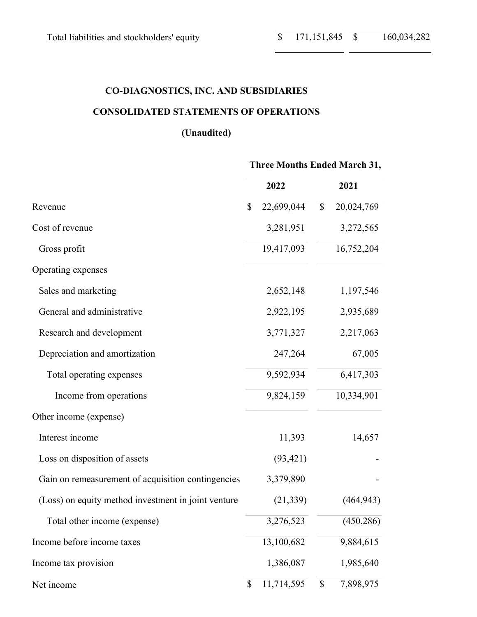= =

# **CO-DIAGNOSTICS, INC. AND SUBSIDIARIES**

# **CONSOLIDATED STATEMENTS OF OPERATIONS**

# **(Unaudited)**

|                                                     |              | <b>Three Months Ended March 31,</b> |                           |            |  |
|-----------------------------------------------------|--------------|-------------------------------------|---------------------------|------------|--|
|                                                     |              | 2022                                |                           | 2021       |  |
| Revenue                                             |              | 22,699,044                          | $\mathbb{S}$              | 20,024,769 |  |
| Cost of revenue                                     |              | 3,281,951                           |                           | 3,272,565  |  |
| Gross profit                                        |              | 19,417,093                          |                           | 16,752,204 |  |
| Operating expenses                                  |              |                                     |                           |            |  |
| Sales and marketing                                 |              | 2,652,148                           |                           | 1,197,546  |  |
| General and administrative                          |              | 2,922,195                           |                           | 2,935,689  |  |
| Research and development                            |              | 3,771,327                           |                           | 2,217,063  |  |
| Depreciation and amortization                       |              | 247,264                             |                           | 67,005     |  |
| Total operating expenses                            |              | 9,592,934                           |                           | 6,417,303  |  |
| Income from operations                              |              | 9,824,159                           |                           | 10,334,901 |  |
| Other income (expense)                              |              |                                     |                           |            |  |
| Interest income                                     |              | 11,393                              |                           | 14,657     |  |
| Loss on disposition of assets                       |              | (93, 421)                           |                           |            |  |
| Gain on remeasurement of acquisition contingencies  |              | 3,379,890                           |                           |            |  |
| (Loss) on equity method investment in joint venture |              | (21, 339)                           |                           | (464, 943) |  |
| Total other income (expense)                        |              | 3,276,523                           |                           | (450, 286) |  |
| Income before income taxes                          |              | 13,100,682                          |                           | 9,884,615  |  |
| Income tax provision                                |              | 1,386,087                           |                           | 1,985,640  |  |
| Net income                                          | $\mathbb{S}$ | 11,714,595                          | $\boldsymbol{\mathsf{S}}$ | 7,898,975  |  |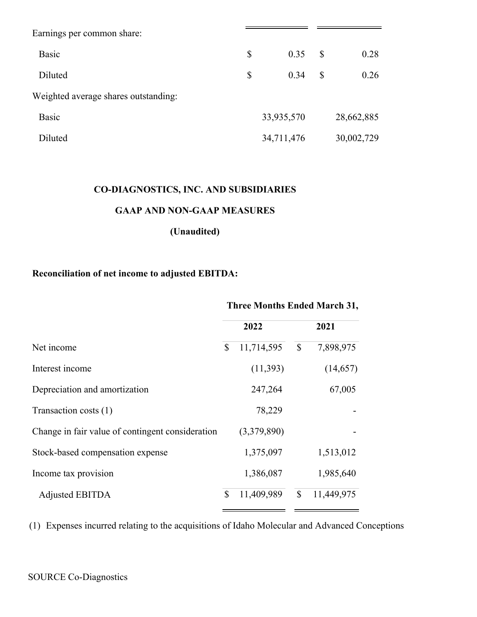| Earnings per common share:           |              |            |              |            |
|--------------------------------------|--------------|------------|--------------|------------|
| <b>Basic</b>                         | \$           | 0.35       | $\mathbb{S}$ | 0.28       |
| Diluted                              | $\mathbb{S}$ | 0.34       | \$           | 0.26       |
| Weighted average shares outstanding: |              |            |              |            |
| <b>Basic</b>                         |              | 33,935,570 |              | 28,662,885 |
| Diluted                              |              | 34,711,476 |              | 30,002,729 |

# **CO-DIAGNOSTICS, INC. AND SUBSIDIARIES**

## **GAAP AND NON-GAAP MEASURES**

# **(Unaudited)**

# **Reconciliation of net income to adjusted EBITDA:**

# **Three Months Ended March 31,**

|                                                  |    | 2022        | 2021                      |            |  |
|--------------------------------------------------|----|-------------|---------------------------|------------|--|
| Net income                                       | \$ | 11,714,595  | $\boldsymbol{\mathsf{S}}$ | 7,898,975  |  |
| Interest income                                  |    | (11,393)    |                           | (14,657)   |  |
| Depreciation and amortization                    |    | 247,264     |                           | 67,005     |  |
| Transaction costs (1)                            |    | 78,229      |                           |            |  |
| Change in fair value of contingent consideration |    | (3,379,890) |                           |            |  |
| Stock-based compensation expense                 |    | 1,375,097   |                           | 1,513,012  |  |
| Income tax provision                             |    | 1,386,087   |                           | 1,985,640  |  |
| <b>Adjusted EBITDA</b>                           | \$ | 11,409,989  | $\mathbb{S}$              | 11,449,975 |  |

(1) Expenses incurred relating to the acquisitions of Idaho Molecular and Advanced Conceptions